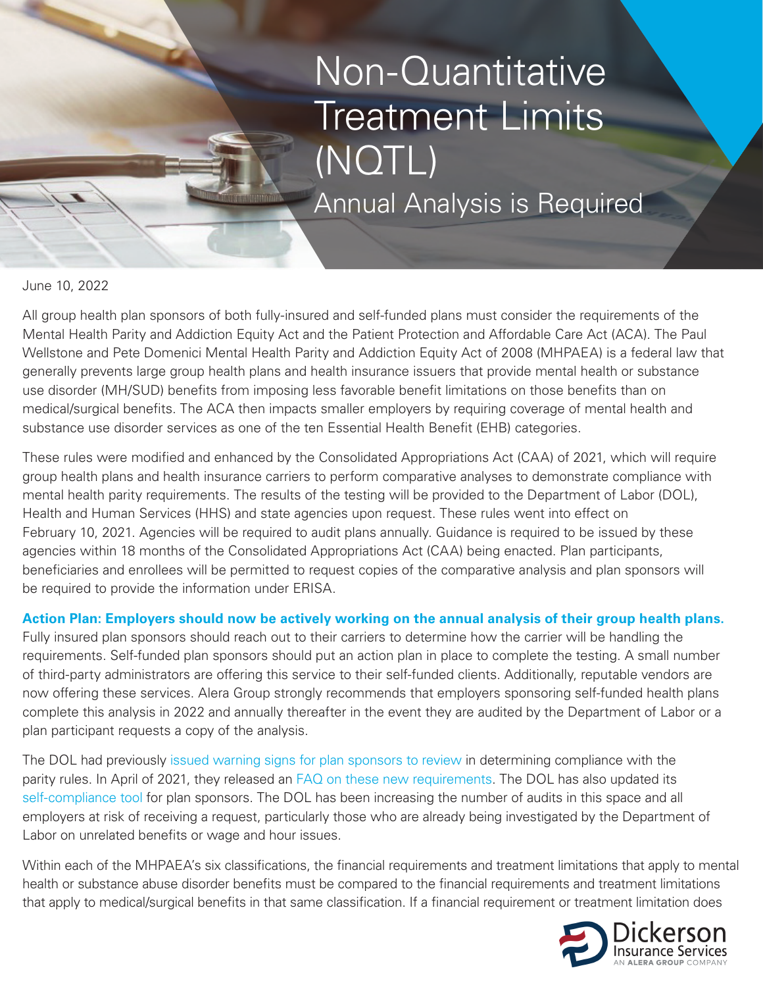# Non-Quantitative Treatment Limits (NQTL) Annual Analysis is Required

June 10, 2022

All group health plan sponsors of both fully-insured and self-funded plans must consider the requirements of the Mental Health Parity and Addiction Equity Act and the Patient Protection and Affordable Care Act (ACA). The Paul Wellstone and Pete Domenici Mental Health Parity and Addiction Equity Act of 2008 (MHPAEA) is a federal law that generally prevents large group health plans and health insurance issuers that provide mental health or substance use disorder (MH/SUD) benefits from imposing less favorable benefit limitations on those benefits than on medical/surgical benefits. The ACA then impacts smaller employers by requiring coverage of mental health and substance use disorder services as one of the ten Essential Health Benefit (EHB) categories.

These rules were modified and enhanced by the Consolidated Appropriations Act (CAA) of 2021, which will require group health plans and health insurance carriers to perform comparative analyses to demonstrate compliance with mental health parity requirements. The results of the testing will be provided to the Department of Labor (DOL), Health and Human Services (HHS) and state agencies upon request. These rules went into effect on February 10, 2021. Agencies will be required to audit plans annually. Guidance is required to be issued by these agencies within 18 months of the Consolidated Appropriations Act (CAA) being enacted. Plan participants, beneficiaries and enrollees will be permitted to request copies of the comparative analysis and plan sponsors will be required to provide the information under ERISA.

**Action Plan: Employers should now be actively working on the annual analysis of their group health plans.** 

Fully insured plan sponsors should reach out to their carriers to determine how the carrier will be handling the requirements. Self-funded plan sponsors should put an action plan in place to complete the testing. A small number of third-party administrators are offering this service to their self-funded clients. Additionally, reputable vendors are now offering these services. Alera Group strongly recommends that employers sponsoring self-funded health plans complete this analysis in 2022 and annually thereafter in the event they are audited by the Department of Labor or a plan participant requests a copy of the analysis.

The DOL had previously [issued warning signs for plan sponsors to review](https://www.dol.gov/sites/dolgov/files/EBSA/laws-and-regulations/laws/mental-health-parity/warning-signs-plan-or-policy-nqtls-that-require-additional-analysis-to-determine-mhpaea-compliance.pdf) in determining compliance with the parity rules. In April of 2021, they released an [FAQ on these new requirements](https://www.dol.gov/sites/dolgov/files/EBSA/about-ebsa/our-activities/resource-center/faqs/aca-part-45.pdf). The DOL has also updated its [self-compliance tool](https://www.dol.gov/sites/dolgov/files/EBSA/laws-and-regulations/laws/mental-health-parity/self-compliance-tool.pdf) for plan sponsors. The DOL has been increasing the number of audits in this space and all employers at risk of receiving a request, particularly those who are already being investigated by the Department of Labor on unrelated benefits or wage and hour issues.

Within each of the MHPAEA's six classifications, the financial requirements and treatment limitations that apply to mental health or substance abuse disorder benefits must be compared to the financial requirements and treatment limitations that apply to medical/surgical benefits in that same classification. If a financial requirement or treatment limitation does

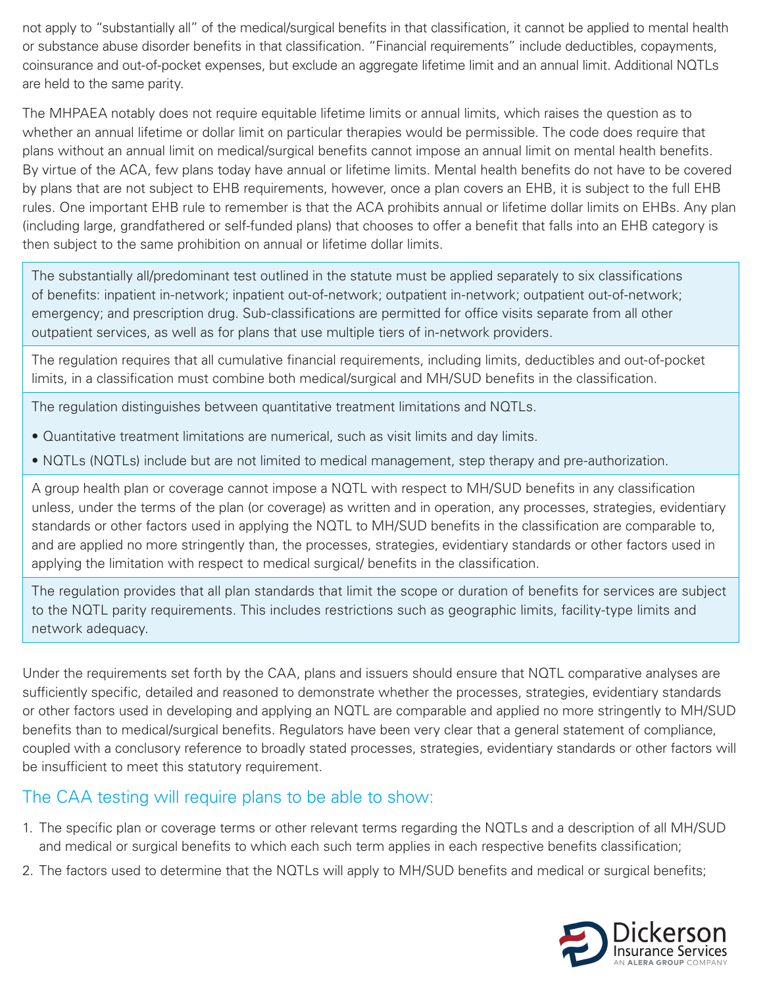not apply to "substantially all" of the medical/surgical benefits in that classification, it cannot be applied to mental health or substance abuse disorder benefits in that classification. "Financial requirements" include deductibles, copayments, coinsurance and out-of-pocket expenses, but exclude an aggregate lifetime limit and an annual limit. Additional NQTLs are held to the same parity.

The MHPAEA notably does not require equitable lifetime limits or annual limits, which raises the question as to whether an annual lifetime or dollar limit on particular therapies would be permissible. The code does require that plans without an annual limit on medical/surgical benefits cannot impose an annual limit on mental health benefits. By virtue of the ACA, few plans today have annual or lifetime limits. Mental health benefits do not have to be covered by plans that are not subject to EHB requirements, however, once a plan covers an EHB, it is subject to the full EHB rules. One important EHB rule to remember is that the ACA prohibits annual or lifetime dollar limits on EHBs. Any plan (including large, grandfathered or self-funded plans) that chooses to offer a benefit that falls into an EHB category is then subject to the same prohibition on annual or lifetime dollar limits.

The substantially all/predominant test outlined in the statute must be applied separately to six classifications of benefits: inpatient in-network; inpatient out-of-network; outpatient in-network; outpatient out-of-network; emergency; and prescription drug. Sub-classifications are permitted for office visits separate from all other outpatient services, as well as for plans that use multiple tiers of in-network providers.

The regulation requires that all cumulative financial requirements, including limits, deductibles and out-of-pocket limits, in a classification must combine both medical/surgical and MH/SUD benefits in the classification.

The regulation distinguishes between quantitative treatment limitations and NQTLs.

- Quantitative treatment limitations are numerical, such as visit limits and day limits.
- NQTLs (NQTLs) include but are not limited to medical management, step therapy and pre-authorization.

A group health plan or coverage cannot impose a NQTL with respect to MH/SUD benefits in any classification unless, under the terms of the plan (or coverage) as written and in operation, any processes, strategies, evidentiary standards or other factors used in applying the NQTL to MH/SUD benefits in the classification are comparable to, and are applied no more stringently than, the processes, strategies, evidentiary standards or other factors used in applying the limitation with respect to medical surgical/ benefits in the classification.

The regulation provides that all plan standards that limit the scope or duration of benefits for services are subject to the NQTL parity requirements. This includes restrictions such as geographic limits, facility-type limits and network adequacy.

Under the requirements set forth by the CAA, plans and issuers should ensure that NQTL comparative analyses are sufficiently specific, detailed and reasoned to demonstrate whether the processes, strategies, evidentiary standards or other factors used in developing and applying an NQTL are comparable and applied no more stringently to MH/SUD benefits than to medical/surgical benefits. Regulators have been very clear that a general statement of compliance, coupled with a conclusory reference to broadly stated processes, strategies, evidentiary standards or other factors will be insufficient to meet this statutory requirement.

## The CAA testing will require plans to be able to show:

- 1. The specific plan or coverage terms or other relevant terms regarding the NQTLs and a description of all MH/SUD and medical or surgical benefits to which each such term applies in each respective benefits classification;
- 2. The factors used to determine that the NQTLs will apply to MH/SUD benefits and medical or surgical benefits;

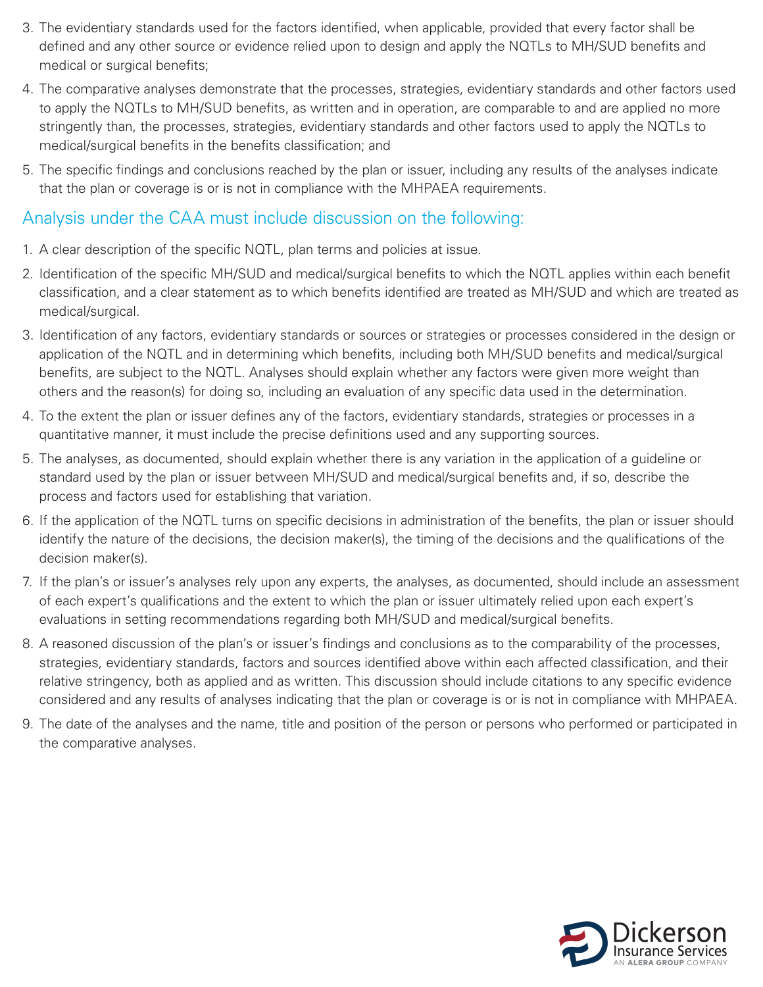- 3. The evidentiary standards used for the factors identified, when applicable, provided that every factor shall be defined and any other source or evidence relied upon to design and apply the NQTLs to MH/SUD benefits and medical or surgical benefits;
- 4. The comparative analyses demonstrate that the processes, strategies, evidentiary standards and other factors used to apply the NQTLs to MH/SUD benefits, as written and in operation, are comparable to and are applied no more stringently than, the processes, strategies, evidentiary standards and other factors used to apply the NQTLs to medical/surgical benefits in the benefits classification; and
- 5. The specific findings and conclusions reached by the plan or issuer, including any results of the analyses indicate that the plan or coverage is or is not in compliance with the MHPAEA requirements.

### Analysis under the CAA must include discussion on the following:

- 1. A clear description of the specific NQTL, plan terms and policies at issue.
- 2. Identification of the specific MH/SUD and medical/surgical benefits to which the NQTL applies within each benefit classification, and a clear statement as to which benefits identified are treated as MH/SUD and which are treated as medical/surgical.
- 3. Identification of any factors, evidentiary standards or sources or strategies or processes considered in the design or application of the NQTL and in determining which benefits, including both MH/SUD benefits and medical/surgical benefits, are subject to the NQTL. Analyses should explain whether any factors were given more weight than others and the reason(s) for doing so, including an evaluation of any specific data used in the determination.
- 4. To the extent the plan or issuer defines any of the factors, evidentiary standards, strategies or processes in a quantitative manner, it must include the precise definitions used and any supporting sources.
- 5. The analyses, as documented, should explain whether there is any variation in the application of a guideline or standard used by the plan or issuer between MH/SUD and medical/surgical benefits and, if so, describe the process and factors used for establishing that variation.
- 6. If the application of the NQTL turns on specific decisions in administration of the benefits, the plan or issuer should identify the nature of the decisions, the decision maker(s), the timing of the decisions and the qualifications of the decision maker(s).
- 7. If the plan's or issuer's analyses rely upon any experts, the analyses, as documented, should include an assessment of each expert's qualifications and the extent to which the plan or issuer ultimately relied upon each expert's evaluations in setting recommendations regarding both MH/SUD and medical/surgical benefits.
- 8. A reasoned discussion of the plan's or issuer's findings and conclusions as to the comparability of the processes, strategies, evidentiary standards, factors and sources identified above within each affected classification, and their relative stringency, both as applied and as written. This discussion should include citations to any specific evidence considered and any results of analyses indicating that the plan or coverage is or is not in compliance with MHPAEA.
- 9. The date of the analyses and the name, title and position of the person or persons who performed or participated in the comparative analyses.